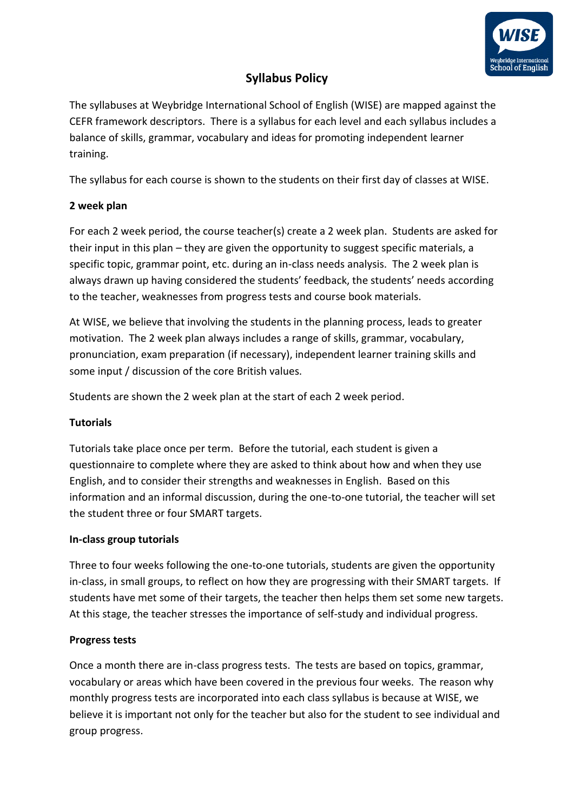

# **Syllabus Policy**

The syllabuses at Weybridge International School of English (WISE) are mapped against the CEFR framework descriptors. There is a syllabus for each level and each syllabus includes a balance of skills, grammar, vocabulary and ideas for promoting independent learner training.

The syllabus for each course is shown to the students on their first day of classes at WISE.

## **2 week plan**

For each 2 week period, the course teacher(s) create a 2 week plan. Students are asked for their input in this plan – they are given the opportunity to suggest specific materials, a specific topic, grammar point, etc. during an in-class needs analysis. The 2 week plan is always drawn up having considered the students' feedback, the students' needs according to the teacher, weaknesses from progress tests and course book materials.

At WISE, we believe that involving the students in the planning process, leads to greater motivation. The 2 week plan always includes a range of skills, grammar, vocabulary, pronunciation, exam preparation (if necessary), independent learner training skills and some input / discussion of the core British values.

Students are shown the 2 week plan at the start of each 2 week period.

### **Tutorials**

Tutorials take place once per term. Before the tutorial, each student is given a questionnaire to complete where they are asked to think about how and when they use English, and to consider their strengths and weaknesses in English. Based on this information and an informal discussion, during the one-to-one tutorial, the teacher will set the student three or four SMART targets.

### **In-class group tutorials**

Three to four weeks following the one-to-one tutorials, students are given the opportunity in-class, in small groups, to reflect on how they are progressing with their SMART targets. If students have met some of their targets, the teacher then helps them set some new targets. At this stage, the teacher stresses the importance of self-study and individual progress.

# **Progress tests**

Once a month there are in-class progress tests. The tests are based on topics, grammar, vocabulary or areas which have been covered in the previous four weeks. The reason why monthly progress tests are incorporated into each class syllabus is because at WISE, we believe it is important not only for the teacher but also for the student to see individual and group progress.